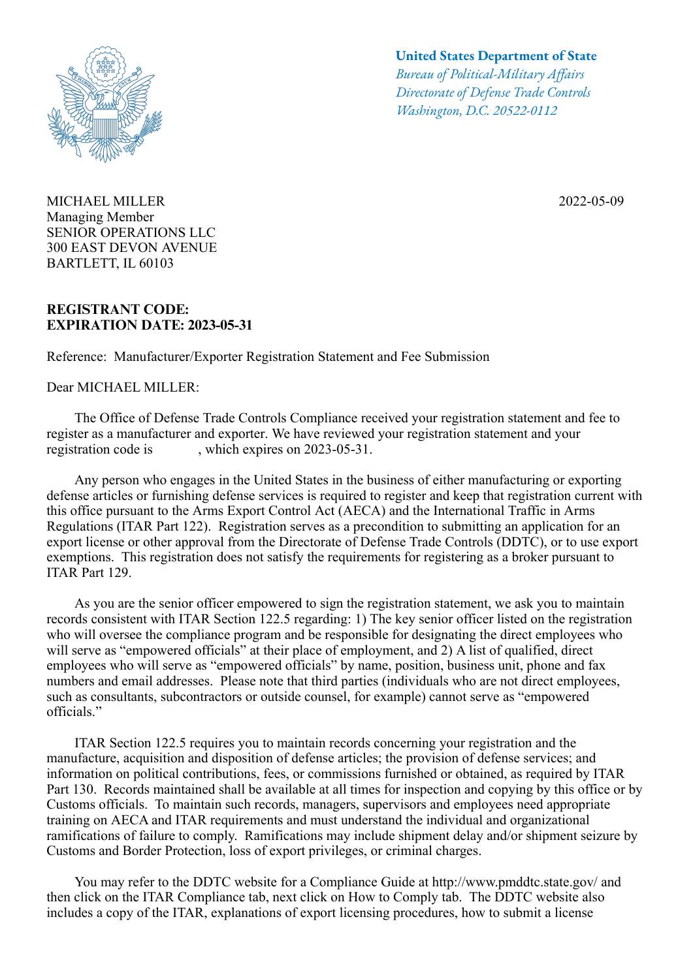

MICHAEL MILLER 2022-05-09 Managing Member SENIOR OPERATIONS LLC 300 EAST DEVON AVENUE BARTLETT, IL 60103

## **REGISTRANT CODE: EXPIRATION DATE: 2023-05-31**

Reference: Manufacturer/Exporter Registration Statement and Fee Submission

Dear MICHAEL MILLER:

## **United States Department of State**

*Bureau of Political-Military Afairs Directorate of Defense Trade Controls Washington, D.C. 20522-0112*

 The Office of Defense Trade Controls Compliance received your registration statement and fee to register as a manufacturer and exporter. We have reviewed your registration statement and your registration code is , which expires on 2023-05-31.

 Any person who engages in the United States in the business of either manufacturing or exporting defense articles or furnishing defense services is required to register and keep that registration current with this office pursuant to the Arms Export Control Act (AECA) and the International Traffic in Arms Regulations (ITAR Part 122). Registration serves as a precondition to submitting an application for an export license or other approval from the Directorate of Defense Trade Controls (DDTC), or to use export exemptions. This registration does not satisfy the requirements for registering as a broker pursuant to ITAR Part 129.

 As you are the senior officer empowered to sign the registration statement, we ask you to maintain records consistent with ITAR Section 122.5 regarding: 1) The key senior officer listed on the registration who will oversee the compliance program and be responsible for designating the direct employees who will serve as "empowered officials" at their place of employment, and 2) A list of qualified, direct employees who will serve as "empowered officials" by name, position, business unit, phone and fax numbers and email addresses. Please note that third parties (individuals who are not direct employees, such as consultants, subcontractors or outside counsel, for example) cannot serve as "empowered officials."

 ITAR Section 122.5 requires you to maintain records concerning your registration and the manufacture, acquisition and disposition of defense articles; the provision of defense services; and information on political contributions, fees, or commissions furnished or obtained, as required by ITAR Part 130. Records maintained shall be available at all times for inspection and copying by this office or by Customs officials. To maintain such records, managers, supervisors and employees need appropriate training on AECA and ITAR requirements and must understand the individual and organizational ramifications of failure to comply. Ramifications may include shipment delay and/or shipment seizure by Customs and Border Protection, loss of export privileges, or criminal charges.

 You may refer to the DDTC website for a Compliance Guide at http://www.pmddtc.state.gov/ and then click on the ITAR Compliance tab, next click on How to Comply tab. The DDTC website also includes a copy of the ITAR, explanations of export licensing procedures, how to submit a license